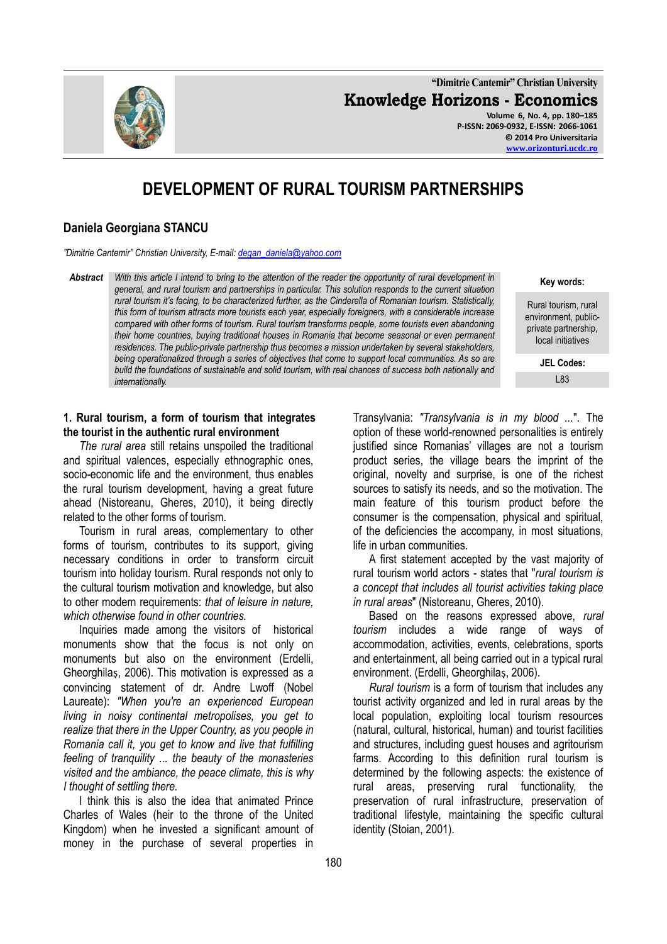**"Dimitrie Cantemir" Christian University Knowledge Horizons - Economics**

**Volume 6, No. 4, pp. 180–185 P-ISSN: 2069-0932, E-ISSN: 2066-1061 © 2014 Pro Universitaria [www.orizonturi.ucdc.ro](http://www.orizonturi.ucdc.ro/)**

# **DEVELOPMENT OF RURAL TOURISM PARTNERSHIPS**

## **Daniela Georgiana STANCU**

*"Dimitrie Cantemir" Christian University, E-mail: [degan\\_daniela@yahoo.com](mailto:degan_daniela@yahoo.com)*

*Abstract With this article I intend to bring to the attention of the reader the opportunity of rural development in general, and rural tourism and partnerships in particular. This solution responds to the current situation rural tourism it's facing, to be characterized further, as the Cinderella of Romanian tourism. Statistically, this form of tourism attracts more tourists each year, especially foreigners, with a considerable increase compared with other forms of tourism. Rural tourism transforms people, some tourists even abandoning their home countries, buying traditional houses in Romania that become seasonal or even permanent residences. The public-private partnership thus becomes a mission undertaken by several stakeholders, being operationalized through a series of objectives that come to support local communities. As so are build the foundations of sustainable and solid tourism, with real chances of success both nationally and internationally.*

**Key words:**

Rural tourism, rural environment, publicprivate partnership, local initiatives

> **JEL Codes:** L83

#### **1. Rural tourism, a form of tourism that integrates the tourist in the authentic rural environment**

*The rural area* still retains unspoiled the traditional and spiritual valences, especially ethnographic ones, socio-economic life and the environment, thus enables the rural tourism development, having a great future ahead (Nistoreanu, Gheres, 2010), it being directly related to the other forms of tourism.

Tourism in rural areas, complementary to other forms of tourism, contributes to its support, giving necessary conditions in order to transform circuit tourism into holiday tourism. Rural responds not only to the cultural tourism motivation and knowledge, but also to other modern requirements: *that of leisure in nature, which otherwise found in other countries.*

Inquiries made among the visitors of historical monuments show that the focus is not only on monuments but also on the environment (Erdelli, Gheorghilaṣ, 2006). This motivation is expressed as a convincing statement of dr. Andre Lwoff (Nobel Laureate): *"When you're an experienced European living in noisy continental metropolises, you get to realize that there in the Upper Country, as you people in Romania call it, you get to know and live that fulfilling feeling of tranquility ... the beauty of the monasteries visited and the ambiance, the peace climate, this is why I thought of settling there.* 

I think this is also the idea that animated Prince Charles of Wales (heir to the throne of the United Kingdom) when he invested a significant amount of money in the purchase of several properties in

Transylvania: *"Transylvania is in my blood ...*". The option of these world-renowned personalities is entirely justified since Romanias' villages are not a tourism product series, the village bears the imprint of the original, novelty and surprise, is one of the richest sources to satisfy its needs, and so the motivation. The main feature of this tourism product before the consumer is the compensation, physical and spiritual, of the deficiencies the accompany, in most situations, life in urban communities.

A first statement accepted by the vast majority of rural tourism world actors - states that "*rural tourism is a concept that includes all tourist activities taking place in rural areas*" (Nistoreanu, Gheres, 2010).

Based on the reasons expressed above, *rural tourism* includes a wide range of ways of accommodation, activities, events, celebrations, sports and entertainment, all being carried out in a typical rural environment. (Erdelli, Gheorghilas, 2006).

*Rural tourism* is a form of tourism that includes any tourist activity organized and led in rural areas by the local population, exploiting local tourism resources (natural, cultural, historical, human) and tourist facilities and structures, including guest houses and agritourism farms. According to this definition rural tourism is determined by the following aspects: the existence of rural areas, preserving rural functionality, the preservation of rural infrastructure, preservation of traditional lifestyle, maintaining the specific cultural identity (Stoian, 2001).

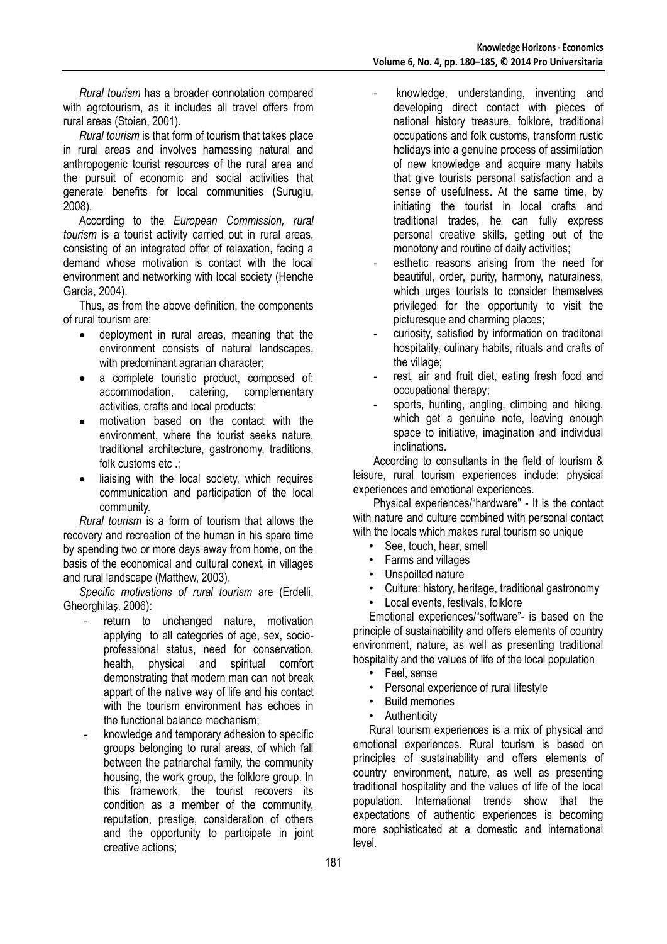*Rural tourism* has a broader connotation compared with agrotourism, as it includes all travel offers from rural areas (Stoian, 2001).

*Rural tourism* is that form of tourism that takes place in rural areas and involves harnessing natural and anthropogenic tourist resources of the rural area and the pursuit of economic and social activities that generate benefits for local communities (Surugiu, 2008).

According to the *European Commission, rural tourism* is a tourist activity carried out in rural areas, consisting of an integrated offer of relaxation, facing a demand whose motivation is contact with the local environment and networking with local society (Henche Garcia, 2004).

Thus, as from the above definition, the components of rural tourism are:

- deployment in rural areas, meaning that the  $\bullet$ environment consists of natural landscapes, with predominant agrarian character;
- a complete touristic product, composed of: accommodation, catering, complementary activities, crafts and local products;
- motivation based on the contact with the environment, where the tourist seeks nature, traditional architecture, gastronomy, traditions, folk customs etc .;
- liaising with the local society, which requires communication and participation of the local community.

*Rural tourism* is a form of tourism that allows the recovery and recreation of the human in his spare time by spending two or more days away from home, on the basis of the economical and cultural conext, in villages and rural landscape (Matthew, 2003).

*Specific motivations of rural tourism* are (Erdelli, Gheorghilas, 2006):

- return to unchanged nature, motivation applying to all categories of age, sex, socioprofessional status, need for conservation, health, physical and spiritual comfort demonstrating that modern man can not break appart of the native way of life and his contact with the tourism environment has echoes in the functional balance mechanism;
- knowledge and temporary adhesion to specific groups belonging to rural areas, of which fall between the patriarchal family, the community housing, the work group, the folklore group. In this framework, the tourist recovers its condition as a member of the community, reputation, prestige, consideration of others and the opportunity to participate in joint creative actions;
- knowledge, understanding, inventing and developing direct contact with pieces of national history treasure, folklore, traditional occupations and folk customs, transform rustic holidays into a genuine process of assimilation of new knowledge and acquire many habits that give tourists personal satisfaction and a sense of usefulness. At the same time, by initiating the tourist in local crafts and traditional trades, he can fully express personal creative skills, getting out of the monotony and routine of daily activities;
- esthetic reasons arising from the need for beautiful, order, purity, harmony, naturalness, which urges tourists to consider themselves privileged for the opportunity to visit the picturesque and charming places;
- curiosity, satisfied by information on traditonal hospitality, culinary habits, rituals and crafts of the village;
- rest, air and fruit diet, eating fresh food and occupational therapy;
- sports, hunting, angling, climbing and hiking, which get a genuine note, leaving enough space to initiative, imagination and individual inclinations.

According to consultants in the field of tourism & leisure, rural tourism experiences include: physical experiences and emotional experiences.

Physical experiences/"hardware" - It is the contact with nature and culture combined with personal contact with the locals which makes rural tourism so unique

- See, touch, hear, smell
- Farms and villages
- Unspoilted nature
- Culture: history, heritage, traditional gastronomy
- Local events, festivals, folklore

Emotional experiences/"software"- is based on the principle of sustainability and offers elements of country environment, nature, as well as presenting traditional hospitality and the values of life of the local population

- Feel, sense
- Personal experience of rural lifestyle
- Build memories
- Authenticity

Rural tourism experiences is a mix of physical and emotional experiences. Rural tourism is based on principles of sustainability and offers elements of country environment, nature, as well as presenting traditional hospitality and the values of life of the local population. International trends show that the expectations of authentic experiences is becoming more sophisticated at a domestic and international level.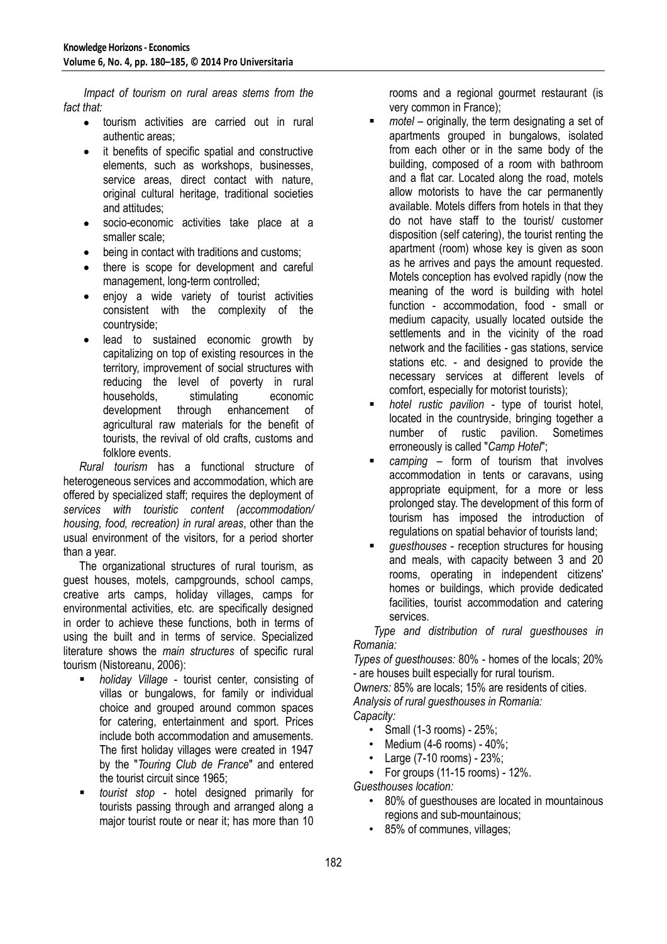*Impact of tourism on rural areas stems from the fact that:*

- tourism activities are carried out in rural  $\bullet$ authentic areas;
- it benefits of specific spatial and constructive elements, such as workshops, businesses, service areas, direct contact with nature, original cultural heritage, traditional societies and attitudes;
- socio-economic activities take place at a smaller scale;
- being in contact with traditions and customs;
- there is scope for development and careful  $\bullet$ management, long-term controlled;
- enjoy a wide variety of tourist activities  $\bullet$ consistent with the complexity of the countryside;
- lead to sustained economic growth by capitalizing on top of existing resources in the territory, improvement of social structures with reducing the level of poverty in rural households, stimulating economic development through enhancement of agricultural raw materials for the benefit of tourists, the revival of old crafts, customs and folklore events.

*Rural tourism* has a functional structure of heterogeneous services and accommodation, which are offered by specialized staff; requires the deployment of *services with touristic content (accommodation/ housing, food, recreation) in rural areas*, other than the usual environment of the visitors, for a period shorter than a year.

The organizational structures of rural tourism, as guest houses, motels, campgrounds, school camps, creative arts camps, holiday villages, camps for environmental activities, etc. are specifically designed in order to achieve these functions, both in terms of using the built and in terms of service. Specialized literature shows the *main structures* of specific rural tourism (Nistoreanu, 2006):

- *holiday Village* tourist center, consisting of villas or bungalows, for family or individual choice and grouped around common spaces for catering, entertainment and sport. Prices include both accommodation and amusements. The first holiday villages were created in 1947 by the "*Touring Club de France*" and entered the tourist circuit since 1965;
- *tourist stop* hotel designed primarily for tourists passing through and arranged along a major tourist route or near it; has more than 10

rooms and a regional gourmet restaurant (is very common in France);

- *motel* originally, the term designating a set of apartments grouped in bungalows, isolated from each other or in the same body of the building, composed of a room with bathroom and a flat car. Located along the road, motels allow motorists to have the car permanently available. Motels differs from hotels in that they do not have staff to the tourist/ customer disposition (self catering), the tourist renting the apartment (room) whose key is given as soon as he arrives and pays the amount requested. Motels conception has evolved rapidly (now the meaning of the word is building with hotel function - accommodation, food - small or medium capacity, usually located outside the settlements and in the vicinity of the road network and the facilities - gas stations, service stations etc. - and designed to provide the necessary services at different levels of comfort, especially for motorist tourists);
- *hotel rustic pavilion* type of tourist hotel, located in the countryside, bringing together a number of rustic pavilion. Sometimes erroneously is called "*Camp Hotel*";
- *camping*  form of tourism that involves accommodation in tents or caravans, using appropriate equipment, for a more or less prolonged stay. The development of this form of tourism has imposed the introduction of regulations on spatial behavior of tourists land;
- *guesthouses* reception structures for housing and meals, with capacity between 3 and 20 rooms, operating in independent citizens' homes or buildings, which provide dedicated facilities, tourist accommodation and catering services.

*Type and distribution of rural guesthouses in Romania:*

*Types of guesthouses:* 80% - homes of the locals; 20% - are houses built especially for rural tourism.

*Owners:* 85% are locals; 15% are residents of cities. *Analysis of rural guesthouses in Romania:*

*Capacity:*

- Small (1-3 rooms) 25%;
- Medium (4-6 rooms) 40%:
- Large (7-10 rooms) 23%;

 $\cdot$  For groups (11-15 rooms) - 12%.

*Guesthouses location:*

- 80% of guesthouses are located in mountainous regions and sub-mountainous;
- 85% of communes, villages;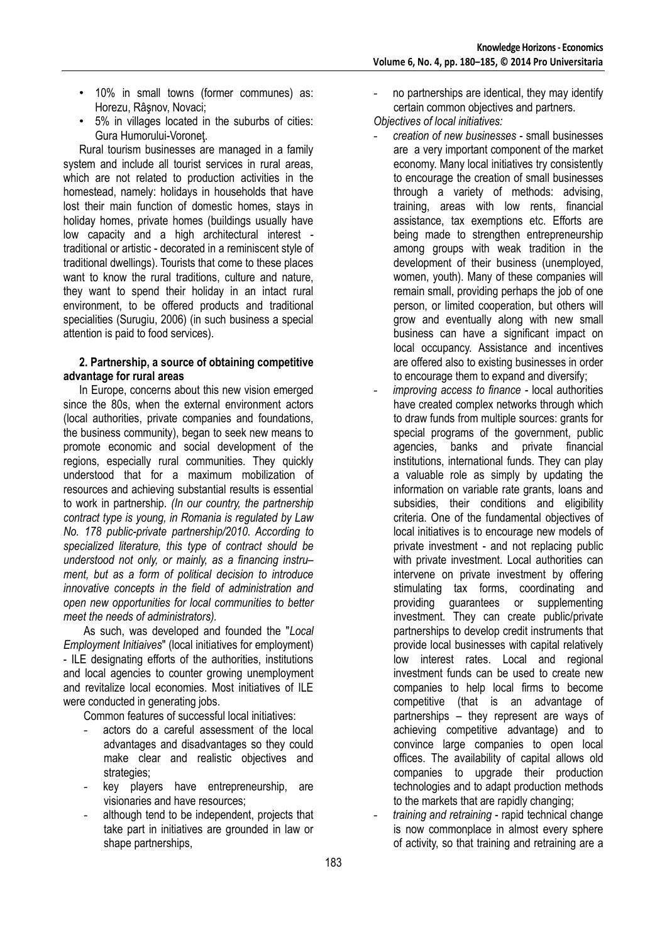- 10% in small towns (former communes) as: Horezu, Râşnov, Novaci;
- 5% in villages located in the suburbs of cities: Gura Humorului-Voroneţ.

Rural tourism businesses are managed in a family system and include all tourist services in rural areas, which are not related to production activities in the homestead, namely: holidays in households that have lost their main function of domestic homes, stays in holiday homes, private homes (buildings usually have low capacity and a high architectural interest traditional or artistic - decorated in a reminiscent style of traditional dwellings). Tourists that come to these places want to know the rural traditions, culture and nature, they want to spend their holiday in an intact rural environment, to be offered products and traditional specialities (Surugiu, 2006) (in such business a special attention is paid to food services).

### **2. Partnership, a source of obtaining competitive advantage for rural areas**

In Europe, concerns about this new vision emerged since the 80s, when the external environment actors (local authorities, private companies and foundations, the business community), began to seek new means to promote economic and social development of the regions, especially rural communities. They quickly understood that for a maximum mobilization of resources and achieving substantial results is essential to work in partnership. *(In our country, the partnership contract type is young, in Romania is regulated by Law No. 178 public-private partnership/2010. According to specialized literature, this type of contract should be understood not only, or mainly, as a financing instru– ment, but as a form of political decision to introduce innovative concepts in the field of administration and open new opportunities for local communities to better meet the needs of administrators).*

As such, was developed and founded the "*Local Employment Initiaives*" (local initiatives for employment) - ILE designating efforts of the authorities, institutions and local agencies to counter growing unemployment and revitalize local economies. Most initiatives of ILE were conducted in generating jobs.

Common features of successful local initiatives:

- actors do a careful assessment of the local advantages and disadvantages so they could make clear and realistic objectives and strategies;
- key players have entrepreneurship, are visionaries and have resources;
- although tend to be independent, projects that take part in initiatives are grounded in law or shape partnerships,

no partnerships are identical, they may identify certain common objectives and partners.

*Objectives of local initiatives:*

- *creation of new businesses* small businesses are a very important component of the market economy. Many local initiatives try consistently to encourage the creation of small businesses through a variety of methods: advising, training, areas with low rents, financial assistance, tax exemptions etc. Efforts are being made to strengthen entrepreneurship among groups with weak tradition in the development of their business (unemployed, women, youth). Many of these companies will remain small, providing perhaps the job of one person, or limited cooperation, but others will grow and eventually along with new small business can have a significant impact on local occupancy. Assistance and incentives are offered also to existing businesses in order to encourage them to expand and diversify;
- *improving access to finance* local authorities have created complex networks through which to draw funds from multiple sources: grants for special programs of the government, public agencies, banks and private financial institutions, international funds. They can play a valuable role as simply by updating the information on variable rate grants, loans and subsidies, their conditions and eligibility criteria. One of the fundamental objectives of local initiatives is to encourage new models of private investment - and not replacing public with private investment. Local authorities can intervene on private investment by offering stimulating tax forms, coordinating and providing guarantees or supplementing investment. They can create public/private partnerships to develop credit instruments that provide local businesses with capital relatively low interest rates. Local and regional investment funds can be used to create new companies to help local firms to become competitive (that is an advantage of partnerships – they represent are ways of achieving competitive advantage) and to convince large companies to open local offices. The availability of capital allows old companies to upgrade their production technologies and to adapt production methods to the markets that are rapidly changing;
- *training and retraining* rapid technical change is now commonplace in almost every sphere of activity, so that training and retraining are a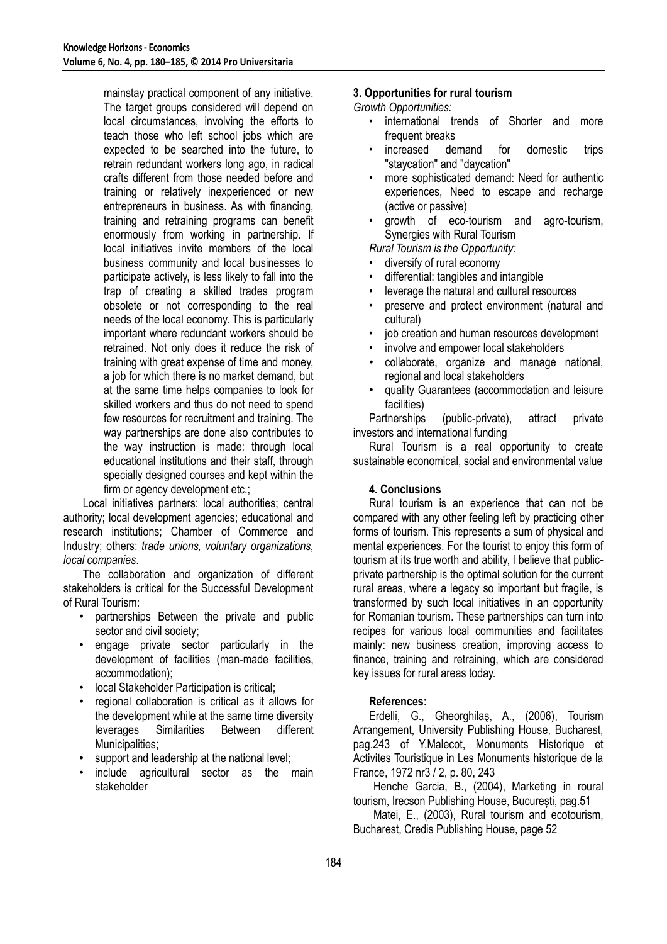mainstay practical component of any initiative. The target groups considered will depend on local circumstances, involving the efforts to teach those who left school jobs which are expected to be searched into the future, to retrain redundant workers long ago, in radical crafts different from those needed before and training or relatively inexperienced or new entrepreneurs in business. As with financing, training and retraining programs can benefit enormously from working in partnership. If local initiatives invite members of the local business community and local businesses to participate actively, is less likely to fall into the trap of creating a skilled trades program obsolete or not corresponding to the real needs of the local economy. This is particularly important where redundant workers should be retrained. Not only does it reduce the risk of training with great expense of time and money, a job for which there is no market demand, but at the same time helps companies to look for skilled workers and thus do not need to spend few resources for recruitment and training. The way partnerships are done also contributes to the way instruction is made: through local educational institutions and their staff, through specially designed courses and kept within the firm or agency development etc.;

Local initiatives partners: local authorities; central authority; local development agencies; educational and research institutions; Chamber of Commerce and Industry; others: *trade unions, voluntary organizations, local companies*.

The collaboration and organization of different stakeholders is critical for the Successful Development of Rural Tourism:

- partnerships Between the private and public sector and civil society;
- engage private sector particularly in the development of facilities (man-made facilities, accommodation);
- local Stakeholder Participation is critical;
- regional collaboration is critical as it allows for the development while at the same time diversity leverages Similarities Between different Municipalities;
- support and leadership at the national level:
- include agricultural sector as the main stakeholder

## **3. Opportunities for rural tourism**

*Growth Opportunities:*

- international trends of Shorter and more frequent breaks
- increased demand for domestic trips "staycation" and "daycation"
- more sophisticated demand: Need for authentic experiences, Need to escape and recharge (active or passive)
- growth of eco-tourism and agro-tourism, Synergies with Rural Tourism

*Rural Tourism is the Opportunity:*

- diversify of rural economy
- differential: tangibles and intangible
- leverage the natural and cultural resources
- preserve and protect environment (natural and cultural)
- job creation and human resources development
- involve and empower local stakeholders
- collaborate, organize and manage national, regional and local stakeholders
- quality Guarantees (accommodation and leisure facilities)

Partnerships (public-private), attract private investors and international funding

Rural Tourism is a real opportunity to create sustainable economical, social and environmental value

#### **4. Conclusions**

Rural tourism is an experience that can not be compared with any other feeling left by practicing other forms of tourism. This represents a sum of physical and mental experiences. For the tourist to enjoy this form of tourism at its true worth and ability, I believe that publicprivate partnership is the optimal solution for the current rural areas, where a legacy so important but fragile, is transformed by such local initiatives in an opportunity for Romanian tourism. These partnerships can turn into recipes for various local communities and facilitates mainly: new business creation, improving access to finance, training and retraining, which are considered key issues for rural areas today.

#### **References:**

Erdelli, G., Gheorghilaş, A., (2006), Tourism Arrangement, University Publishing House, Bucharest, pag.243 of Y.Malecot, Monuments Historique et Activites Touristique in Les Monuments historique de la France, 1972 nr3 / 2, p. 80, 243

Henche Garcia, B., (2004), Marketing in roural tourism, Irecson Publishing House, București, pag.51

Matei, E., (2003), Rural tourism and ecotourism, Bucharest, Credis Publishing House, page 52